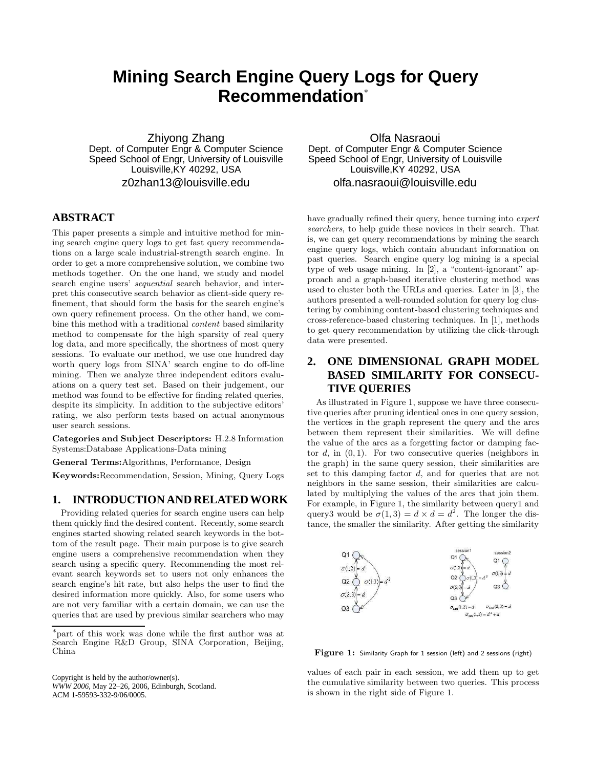# **Mining Search Engine Query Logs for Query Recommendation**<sup>∗</sup>

Zhiyong Zhang Dept. of Computer Engr & Computer Science Speed School of Engr, University of Louisville Louisville, KY 40292, USA z0zhan13@louisville.edu

## **ABSTRACT**

This paper presents a simple and intuitive method for mining search engine query logs to get fast query recommendations on a large scale industrial-strength search engine. In order to get a more comprehensive solution, we combine two methods together. On the one hand, we study and model search engine users' sequential search behavior, and interpret this consecutive search behavior as client-side query refinement, that should form the basis for the search engine's own query refinement process. On the other hand, we combine this method with a traditional content based similarity method to compensate for the high sparsity of real query log data, and more specifically, the shortness of most query sessions. To evaluate our method, we use one hundred day worth query logs from SINA' search engine to do off-line mining. Then we analyze three independent editors evaluations on a query test set. Based on their judgement, our method was found to be effective for finding related queries, despite its simplicity. In addition to the subjective editors' rating, we also perform tests based on actual anonymous user search sessions.

Categories and Subject Descriptors: H.2.8 Information Systems:Database Applications-Data mining

General Terms:Algorithms, Performance, Design

Keywords:Recommendation, Session, Mining, Query Logs

#### **1. INTRODUCTION AND RELATED WORK**

Providing related queries for search engine users can help them quickly find the desired content. Recently, some search engines started showing related search keywords in the bottom of the result page. Their main purpose is to give search engine users a comprehensive recommendation when they search using a specific query. Recommending the most relevant search keywords set to users not only enhances the search engine's hit rate, but also helps the user to find the desired information more quickly. Also, for some users who are not very familiar with a certain domain, we can use the queries that are used by previous similar searchers who may

Copyright is held by the author/owner(s). *WWW 2006,* May 22–26, 2006, Edinburgh, Scotland.

ACM 1-59593-332-9/06/0005.

Olfa Nasraoui Dept. of Computer Engr & Computer Science Speed School of Engr, University of Louisville Louisville,KY 40292, USA olfa.nasraoui@louisville.edu

have gradually refined their query, hence turning into expert searchers, to help guide these novices in their search. That is, we can get query recommendations by mining the search engine query logs, which contain abundant information on past queries. Search engine query log mining is a special type of web usage mining. In [2], a "content-ignorant" approach and a graph-based iterative clustering method was used to cluster both the URLs and queries. Later in [3], the authors presented a well-rounded solution for query log clustering by combining content-based clustering techniques and cross-reference-based clustering techniques. In [1], methods to get query recommendation by utilizing the click-through data were presented.

## **2. ONE DIMENSIONAL GRAPH MODEL BASED SIMILARITY FOR CONSECU-TIVE QUERIES**

As illustrated in Figure 1, suppose we have three consecutive queries after pruning identical ones in one query session, the vertices in the graph represent the query and the arcs between them represent their similarities. We will define the value of the arcs as a forgetting factor or damping factor  $d$ , in  $(0, 1)$ . For two consecutive queries (neighbors in the graph) in the same query session, their similarities are set to this damping factor d, and for queries that are not neighbors in the same session, their similarities are calculated by multiplying the values of the arcs that join them. For example, in Figure 1, the similarity between query1 and query3 would be  $\sigma(1,3) = d \times d = d^2$ . The longer the distance, the smaller the similarity. After getting the similarity



Figure 1: Similarity Graph for 1 session (left) and 2 sessions (right)

values of each pair in each session, we add them up to get the cumulative similarity between two queries. This process is shown in the right side of Figure 1.

<sup>∗</sup> part of this work was done while the first author was at Search Engine R&D Group, SINA Corporation, Beijing, China